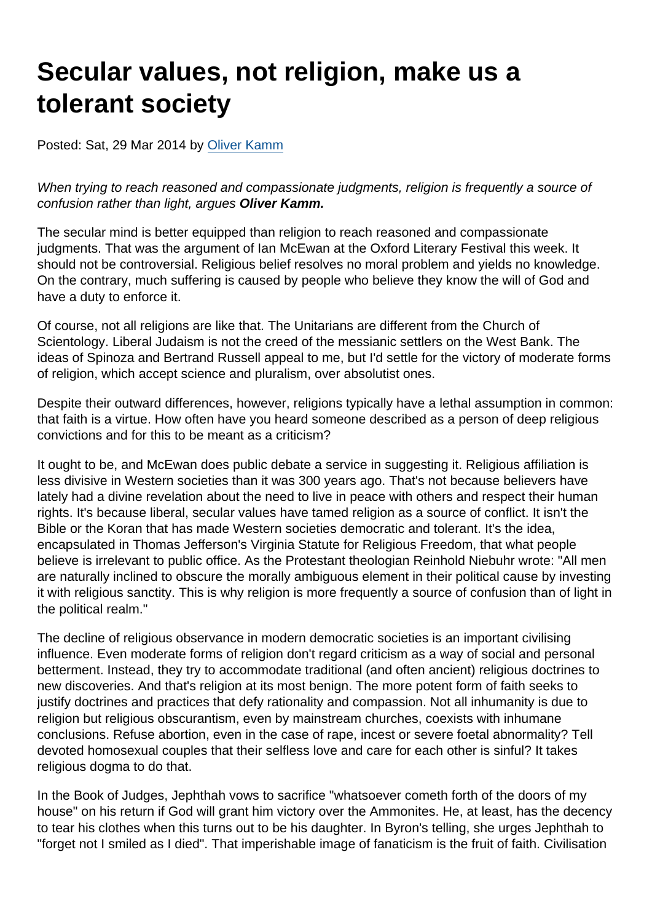# Secular values, not religion, make us a tolerant society

Posted: Sat, 29 Mar 2014 by [Oliver Kamm](https://www.secularism.org.uk/opinion/authors/856)

When trying to reach reasoned and compassionate judgments, religion is frequently a source of confusion rather than light, argues Oliver Kamm.

The secular mind is better equipped than religion to reach reasoned and compassionate judgments. That was the argument of Ian McEwan at the Oxford Literary Festival this week. It should not be controversial. Religious belief resolves no moral problem and yields no knowledge. On the contrary, much suffering is caused by people who believe they know the will of God and have a duty to enforce it.

Of course, not all religions are like that. The Unitarians are different from the Church of Scientology. Liberal Judaism is not the creed of the messianic settlers on the West Bank. The ideas of Spinoza and Bertrand Russell appeal to me, but I'd settle for the victory of moderate forms of religion, which accept science and pluralism, over absolutist ones.

Despite their outward differences, however, religions typically have a lethal assumption in common: that faith is a virtue. How often have you heard someone described as a person of deep religious convictions and for this to be meant as a criticism?

It ought to be, and McEwan does public debate a service in suggesting it. Religious affiliation is less divisive in Western societies than it was 300 years ago. That's not because believers have lately had a divine revelation about the need to live in peace with others and respect their human rights. It's because liberal, secular values have tamed religion as a source of conflict. It isn't the Bible or the Koran that has made Western societies democratic and tolerant. It's the idea, encapsulated in Thomas Jefferson's Virginia Statute for Religious Freedom, that what people believe is irrelevant to public office. As the Protestant theologian Reinhold Niebuhr wrote: "All men are naturally inclined to obscure the morally ambiguous element in their political cause by investing it with religious sanctity. This is why religion is more frequently a source of confusion than of light in the political realm."

The decline of religious observance in modern democratic societies is an important civilising influence. Even moderate forms of religion don't regard criticism as a way of social and personal betterment. Instead, they try to accommodate traditional (and often ancient) religious doctrines to new discoveries. And that's religion at its most benign. The more potent form of faith seeks to justify doctrines and practices that defy rationality and compassion. Not all inhumanity is due to religion but religious obscurantism, even by mainstream churches, coexists with inhumane conclusions. Refuse abortion, even in the case of rape, incest or severe foetal abnormality? Tell devoted homosexual couples that their selfless love and care for each other is sinful? It takes religious dogma to do that.

In the Book of Judges, Jephthah vows to sacrifice "whatsoever cometh forth of the doors of my house" on his return if God will grant him victory over the Ammonites. He, at least, has the decency to tear his clothes when this turns out to be his daughter. In Byron's telling, she urges Jephthah to "forget not I smiled as I died". That imperishable image of fanaticism is the fruit of faith. Civilisation